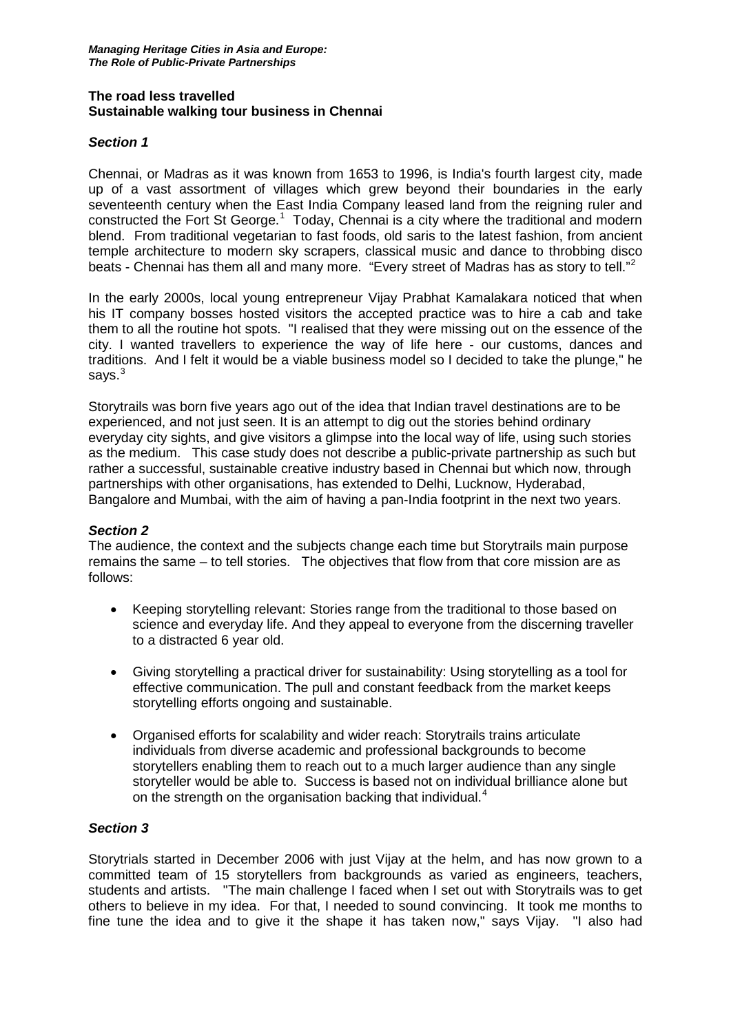## **The road less travelled Sustainable walking tour business in Chennai**

## *Section 1*

Chennai, or Madras as it was known from 1653 to 1996, is India's fourth largest city, made up of a vast assortment of villages which grew beyond their boundaries in the early seventeenth century when the East India Company leased land from the reigning ruler and constructed the Fort St George.<sup>[1](#page-3-0)</sup> Today, Chennai is a city where the traditional and modern blend. From traditional vegetarian to fast foods, old saris to the latest fashion, from ancient temple architecture to modern sky scrapers, classical music and dance to throbbing disco beats - Chennai has them all and many more. "Every street of Madras has as story to tell."<sup>[2](#page-3-1)</sup>

In the early 2000s, local young entrepreneur Vijay Prabhat Kamalakara noticed that when his IT company bosses hosted visitors the accepted practice was to hire a cab and take them to all the routine hot spots. "I realised that they were missing out on the essence of the city. I wanted travellers to experience the way of life here - our customs, dances and traditions. And I felt it would be a viable business model so I decided to take the plunge," he says. $^3\,$  $^3\,$  $^3\,$ 

Storytrails was born five years ago out of the idea that Indian travel destinations are to be experienced, and not just seen. It is an attempt to dig out the stories behind ordinary everyday city sights, and give visitors a glimpse into the local way of life, using such stories as the medium. This case study does not describe a public-private partnership as such but rather a successful, sustainable creative industry based in Chennai but which now, through partnerships with other organisations, has extended to Delhi, Lucknow, Hyderabad, Bangalore and Mumbai, with the aim of having a pan-India footprint in the next two years.

## *Section 2*

The audience, the context and the subjects change each time but Storytrails main purpose remains the same – to tell stories. The objectives that flow from that core mission are as follows:

- Keeping storytelling relevant: Stories range from the traditional to those based on science and everyday life. And they appeal to everyone from the discerning traveller to a distracted 6 year old.
- Giving storytelling a practical driver for sustainability: Using storytelling as a tool for effective communication. The pull and constant feedback from the market keeps storytelling efforts ongoing and sustainable.
- Organised efforts for scalability and wider reach: Storytrails trains articulate individuals from diverse academic and professional backgrounds to become storytellers enabling them to reach out to a much larger audience than any single storyteller would be able to. Success is based not on individual brilliance alone but on the strength on the organisation backing that individual.<sup>[4](#page-3-3)</sup>

## *Section 3*

Storytrials started in December 2006 with just Vijay at the helm, and has now grown to a committed team of 15 storytellers from backgrounds as varied as engineers, teachers, students and artists. "The main challenge I faced when I set out with Storytrails was to get others to believe in my idea. For that, I needed to sound convincing. It took me months to fine tune the idea and to give it the shape it has taken now," says Vijay. "I also had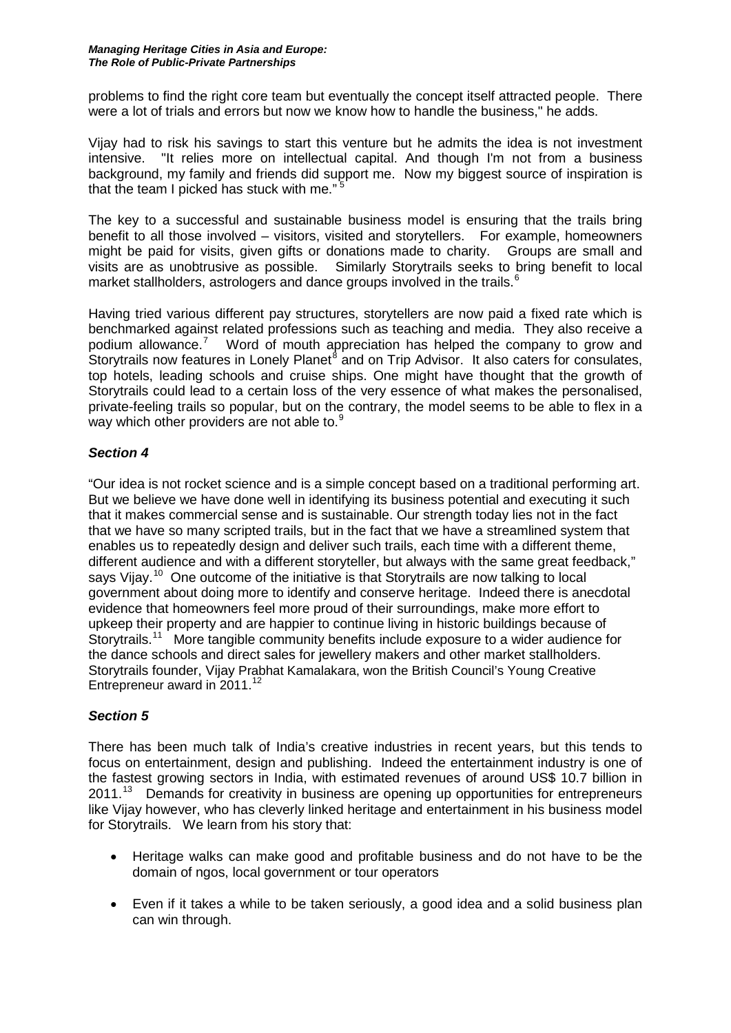#### *Managing Heritage Cities in Asia and Europe: The Role of Public-Private Partnerships*

problems to find the right core team but eventually the concept itself attracted people. There were a lot of trials and errors but now we know how to handle the business," he adds.

Vijay had to risk his savings to start this venture but he admits the idea is not investment intensive. "It relies more on intellectual capital. And though I'm not from a business background, my family and friends did support me. Now my biggest source of inspiration is that the team I picked has stuck with me."<sup>[5](#page-3-4)</sup>

The key to a successful and sustainable business model is ensuring that the trails bring benefit to all those involved – visitors, visited and storytellers. For example, homeowners might be paid for visits, given gifts or donations made to charity. Groups are small and visits are as unobtrusive as possible. Similarly Storytrails seeks to bring benefit to local market stallholders, astrologers and dance groups involved in the trails.<sup>[6](#page-3-5)</sup>

Having tried various different pay structures, storytellers are now paid a fixed rate which is benchmarked against related professions such as teaching and media. They also receive a podium allowance.<sup>[7](#page-3-6)</sup> Word of mouth appreciation has helped the company to grow and Storytrails now features in Lonely Planet $^8$  $^8$  and on Trip Advisor. It also caters for consulates, top hotels, leading schools and cruise ships. One might have thought that the growth of Storytrails could lead to a certain loss of the very essence of what makes the personalised, private-feeling trails so popular, but on the contrary, the model seems to be able to flex in a way which other providers are not able to.<sup>[9](#page-3-8)</sup>

# *Section 4*

"Our idea is not rocket science and is a simple concept based on a traditional performing art. But we believe we have done well in identifying its business potential and executing it such that it makes commercial sense and is sustainable. Our strength today lies not in the fact that we have so many scripted trails, but in the fact that we have a streamlined system that enables us to repeatedly design and deliver such trails, each time with a different theme, different audience and with a different storyteller, but always with the same great feedback," says Vijay.<sup>10</sup> One outcome of the initiative is that Storytrails are now talking to local government about doing more to identify and conserve heritage. Indeed there is anecdotal evidence that homeowners feel more proud of their surroundings, make more effort to upkeep their property and are happier to continue living in historic buildings because of Storytrails.<sup>[11](#page-3-10)</sup> More tangible community benefits include exposure to a wider audience for the dance schools and direct sales for jewellery makers and other market stallholders. Storytrails founder, Vijay Prabhat Kamalakara, won the British Council's Young Creative Entrepreneur award in 2011.<sup>[12](#page-3-11)</sup>

## *Section 5*

There has been much talk of India's creative industries in recent years, but this tends to focus on entertainment, design and publishing. Indeed the entertainment industry is one of the fastest growing sectors in India, with estimated revenues of around US\$ 10.7 billion in 2011.<sup>13</sup> Demands for creativity in business are opening up opportunities for entrepreneurs like Vijay however, who has cleverly linked heritage and entertainment in his business model for Storytrails. We learn from his story that:

- Heritage walks can make good and profitable business and do not have to be the domain of ngos, local government or tour operators
- Even if it takes a while to be taken seriously, a good idea and a solid business plan can win through.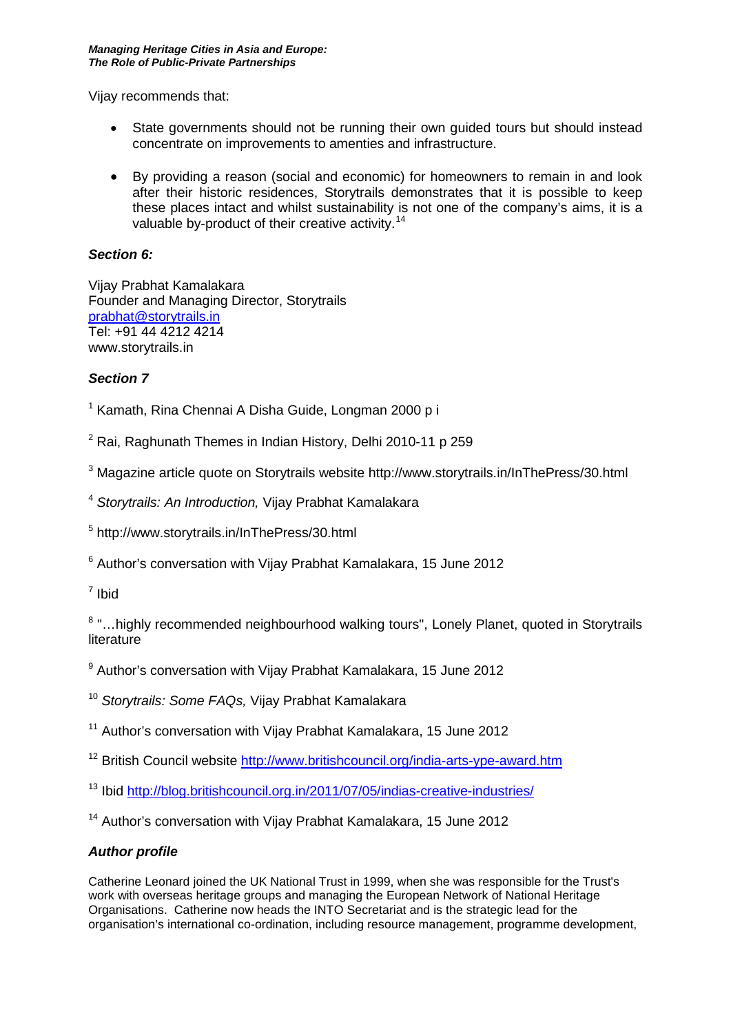Vijay recommends that:

- State governments should not be running their own guided tours but should instead concentrate on improvements to amenties and infrastructure.
- By providing a reason (social and economic) for homeowners to remain in and look after their historic residences, Storytrails demonstrates that it is possible to keep these places intact and whilst sustainability is not one of the company's aims, it is a valuable by-product of their creative activity.[14](#page-3-13)

# *Section 6:*

Vijay Prabhat Kamalakara Founder and Managing Director, Storytrails [prabhat@storytrails.in](mailto:prabhat@storytrails.in) Tel: +91 44 4212 4214 www.storytrails.in

## *Section 7*

 $1$  Kamath, Rina Chennai A Disha Guide, Longman 2000 p i

<sup>2</sup> Rai, Raghunath Themes in Indian History, Delhi 2010-11 p 259

<sup>3</sup> Magazine article quote on Storytrails website http://www.storytrails.in/InThePress/30.html

<sup>4</sup> *Storytrails: An Introduction,* Vijay Prabhat Kamalakara

<sup>5</sup> http://www.storytrails.in/InThePress/30.html

<sup>6</sup> Author's conversation with Vijay Prabhat Kamalakara, 15 June 2012

 $<sup>7</sup>$  Ibid</sup>

<sup>8</sup> "...highly recommended neighbourhood walking tours", Lonely Planet, quoted in Storytrails literature

<sup>9</sup> Author's conversation with Vijay Prabhat Kamalakara, 15 June 2012

<sup>10</sup> *Storytrails: Some FAQs,* Vijay Prabhat Kamalakara

<sup>11</sup> Author's conversation with Vijay Prabhat Kamalakara, 15 June 2012

<sup>12</sup> British Council website<http://www.britishcouncil.org/india-arts-ype-award.htm>

<sup>13</sup> Ibid<http://blog.britishcouncil.org.in/2011/07/05/indias-creative-industries/>

<sup>14</sup> Author's conversation with Vijay Prabhat Kamalakara, 15 June 2012

## *Author profile*

Catherine Leonard joined the UK National Trust in 1999, when she was responsible for the Trust's work with overseas heritage groups and managing the European Network of National Heritage Organisations. Catherine now heads the INTO Secretariat and is the strategic lead for the organisation's international co-ordination, including resource management, programme development,